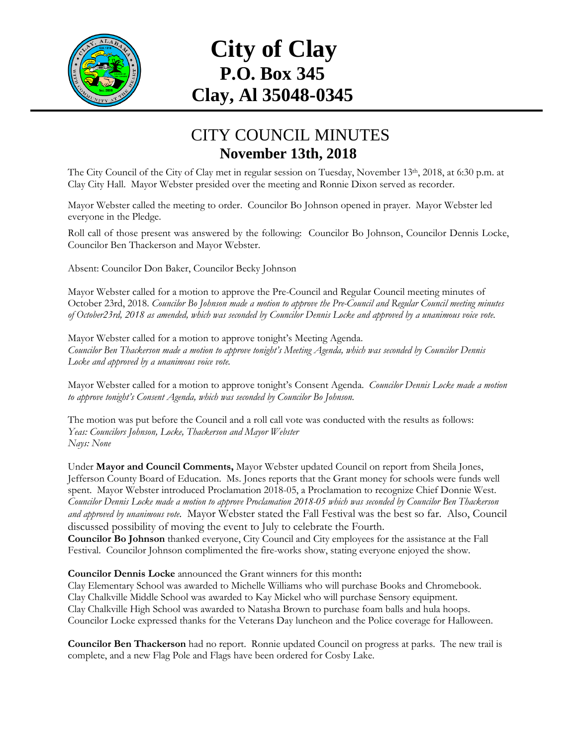

## **City of Clay P.O. Box 345 Clay, Al 35048-0345**

## CITY COUNCIL MINUTES **November 13th, 2018**

The City Council of the City of Clay met in regular session on Tuesday, November 13<sup>th</sup>, 2018, at 6:30 p.m. at Clay City Hall. Mayor Webster presided over the meeting and Ronnie Dixon served as recorder.

Mayor Webster called the meeting to order. Councilor Bo Johnson opened in prayer. Mayor Webster led everyone in the Pledge.

Roll call of those present was answered by the following: Councilor Bo Johnson, Councilor Dennis Locke, Councilor Ben Thackerson and Mayor Webster.

Absent: Councilor Don Baker, Councilor Becky Johnson

Mayor Webster called for a motion to approve the Pre-Council and Regular Council meeting minutes of October 23rd, 2018. *Councilor Bo Johnson made a motion to approve the Pre-Council and Regular Council meeting minutes of October23rd, 2018 as amended, which was seconded by Councilor Dennis Locke and approved by a unanimous voice vote.*

Mayor Webster called for a motion to approve tonight's Meeting Agenda. *Councilor Ben Thackerson made a motion to approve tonight's Meeting Agenda, which was seconded by Councilor Dennis Locke and approved by a unanimous voice vote.*

Mayor Webster called for a motion to approve tonight's Consent Agenda. *Councilor Dennis Locke made a motion to approve tonight's Consent Agenda, which was seconded by Councilor Bo Johnson.*

The motion was put before the Council and a roll call vote was conducted with the results as follows: *Yeas: Councilors Johnson, Locke, Thackerson and Mayor Webster Nays: None*

Under **Mayor and Council Comments,** Mayor Webster updated Council on report from Sheila Jones, Jefferson County Board of Education. Ms. Jones reports that the Grant money for schools were funds well spent. Mayor Webster introduced Proclamation 2018-05, a Proclamation to recognize Chief Donnie West. *Councilor Dennis Locke made a motion to approve Proclamation 2018-05 which was seconded by Councilor Ben Thackerson and approved by unanimous vote*. Mayor Webster stated the Fall Festival was the best so far. Also, Council discussed possibility of moving the event to July to celebrate the Fourth. **Councilor Bo Johnson** thanked everyone, City Council and City employees for the assistance at the Fall Festival. Councilor Johnson complimented the fire-works show, stating everyone enjoyed the show.

**Councilor Dennis Locke** announced the Grant winners for this month**:**

Clay Elementary School was awarded to Michelle Williams who will purchase Books and Chromebook. Clay Chalkville Middle School was awarded to Kay Mickel who will purchase Sensory equipment. Clay Chalkville High School was awarded to Natasha Brown to purchase foam balls and hula hoops. Councilor Locke expressed thanks for the Veterans Day luncheon and the Police coverage for Halloween.

**Councilor Ben Thackerson** had no report. Ronnie updated Council on progress at parks. The new trail is complete, and a new Flag Pole and Flags have been ordered for Cosby Lake.